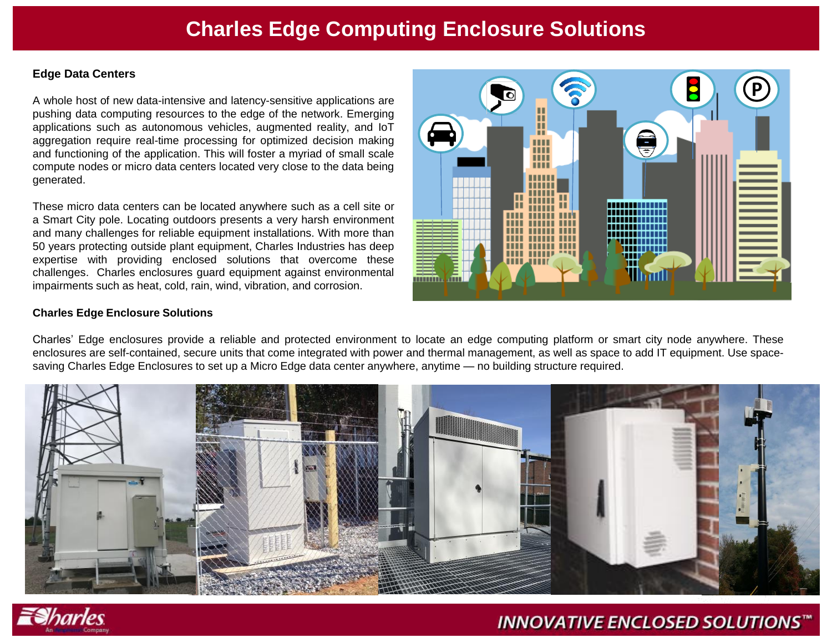# **Charles Edge Computing Enclosure Solutions**

### **Edge Data Centers**

A whole host of new data-intensive and latency-sensitive applications are pushing data computing resources to the edge of the network. Emerging applications such as autonomous vehicles, augmented reality, and IoT aggregation require real-time processing for optimized decision making and functioning of the application. This will foster a myriad of small scale compute nodes or micro data centers located very close to the data being generated.

These micro data centers can be located anywhere such as a cell site or a Smart City pole. Locating outdoors presents a very harsh environment and many challenges for reliable equipment installations. With more than 50 years protecting outside plant equipment, Charles Industries has deep expertise with providing enclosed solutions that overcome these challenges. Charles enclosures guard equipment against environmental impairments such as heat, cold, rain, wind, vibration, and corrosion.

### **Charles Edge Enclosure Solutions**

Charles' Edge enclosures provide a reliable and protected environment to locate an edge computing platform or smart city node anywhere. These enclosures are self-contained, secure units that come integrated with power and thermal management, as well as space to add IT equipment. Use spacesaving Charles Edge Enclosures to set up a Micro Edge data center anywhere, anytime — no building structure required.





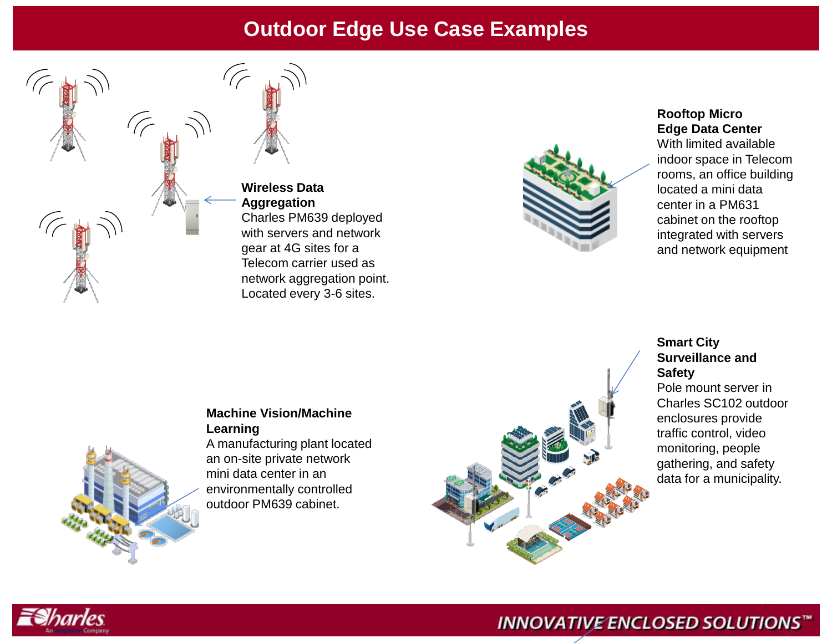# **Outdoor Edge Use Case Examples**



**Wireless Data Aggregation** Charles PM639 deployed with servers and network gear at 4G sites for a Telecom carrier used as network aggregation point. Located every 3-6 sites.



## **Rooftop Micro Edge Data Center**

With limited available indoor space in Telecom rooms, an office building located a mini data center in a PM631 cabinet on the rooftop integrated with servers and network equipment

## **Smart City Surveillance and Safety**

Pole mount server in Charles SC102 outdoor enclosures provide traffic control, video monitoring, people gathering, and safety data for a municipality.

## **Machine Vision/Machine Learning**

A manufacturing plant located an on-site private network mini data center in an environmentally controlled outdoor PM639 cabinet.





## **INNOVATIVE ENCLOSED SOLUTIONS™**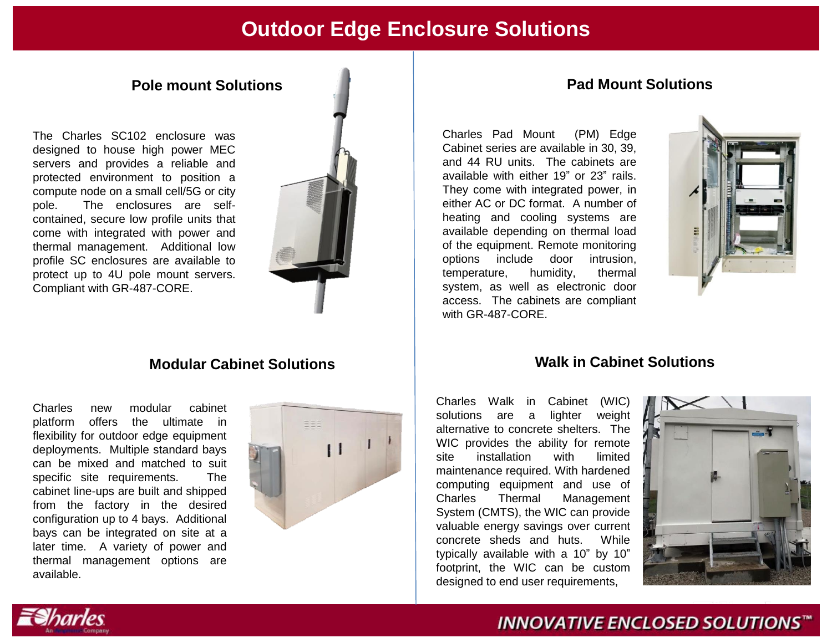## **Outdoor Edge Enclosure Solutions**

The Charles SC102 enclosure was designed to house high power MEC servers and provides a reliable and protected environment to position a compute node on a small cell/5G or city pole. The enclosures are selfcontained, secure low profile units that come with integrated with power and thermal management. Additional low profile SC enclosures are available to protect up to 4U pole mount servers. Compliant with GR-487-CORE.



Charles new modular cabinet platform offers the ultimate in flexibility for outdoor edge equipment deployments. Multiple standard bays can be mixed and matched to suit specific site requirements. The cabinet line-ups are built and shipped from the factory in the desired configuration up to 4 bays. Additional bays can be integrated on site at a later time. A variety of power and thermal management options are available.



## **Pole mount Solutions Pad Mount Solutions**

Charles Pad Mount (PM) Edge Cabinet series are available in 30, 39, and 44 RU units. The cabinets are available with either 19" or 23" rails. They come with integrated power, in either AC or DC format. A number of heating and cooling systems are available depending on thermal load of the equipment. Remote monitoring options include door intrusion, temperature, humidity, thermal system, as well as electronic door access. The cabinets are compliant with GR-487-CORE.



## **Modular Cabinet Solutions Walk in Cabinet Solutions**

**INNOVATIVE ENCLOSED SOLUTIONS™** 

Charles Walk in Cabinet (WIC) solutions are a lighter weight alternative to concrete shelters. The WIC provides the ability for remote site installation with limited maintenance required. With hardened computing equipment and use of Charles Thermal Management System (CMTS), the WIC can provide valuable energy savings over current concrete sheds and huts. While typically available with a 10" by 10" footprint, the WIC can be custom designed to end user requirements,